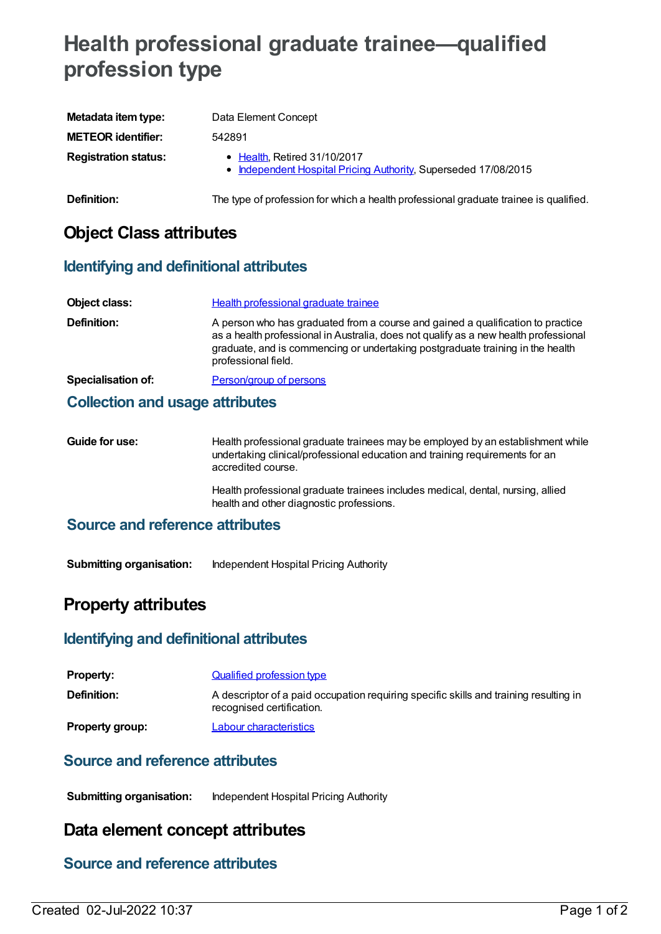# **Health professional graduate trainee—qualified profession type**

| Metadata item type:         | Data Element Concept                                                                                    |
|-----------------------------|---------------------------------------------------------------------------------------------------------|
| <b>METEOR identifier:</b>   | 542891                                                                                                  |
| <b>Registration status:</b> | $\bullet$ Health, Retired 31/10/2017<br>• Independent Hospital Pricing Authority, Superseded 17/08/2015 |
| Definition:                 | The type of profession for which a health professional graduate trainee is qualified.                   |

## **Object Class attributes**

#### **Identifying and definitional attributes**

| Object class:      | Health professional graduate trainee                                                                                                                                                                                                                                             |
|--------------------|----------------------------------------------------------------------------------------------------------------------------------------------------------------------------------------------------------------------------------------------------------------------------------|
| Definition:        | A person who has graduated from a course and gained a qualification to practice<br>as a health professional in Australia, does not qualify as a new health professional<br>graduate, and is commencing or undertaking postgraduate training in the health<br>professional field. |
| Specialisation of: | Person/group of persons                                                                                                                                                                                                                                                          |

#### **Collection and usage attributes**

| Guide for use: | Health professional graduate trainees may be employed by an establishment while<br>undertaking clinical/professional education and training requirements for an<br>accredited course. |
|----------------|---------------------------------------------------------------------------------------------------------------------------------------------------------------------------------------|
|                |                                                                                                                                                                                       |

Health professional graduate trainees includes medical, dental, nursing, allied health and other diagnostic professions.

#### **Source and reference attributes**

**Submitting organisation:** Independent Hospital Pricing Authority

## **Property attributes**

#### **Identifying and definitional attributes**

| <b>Property:</b>       | Qualified profession type                                                                                          |
|------------------------|--------------------------------------------------------------------------------------------------------------------|
| Definition:            | A descriptor of a paid occupation requiring specific skills and training resulting in<br>recognised certification. |
| <b>Property group:</b> | Labour characteristics                                                                                             |

#### **Source and reference attributes**

**Submitting organisation:** Independent Hospital Pricing Authority

## **Data element concept attributes**

#### **Source and reference attributes**